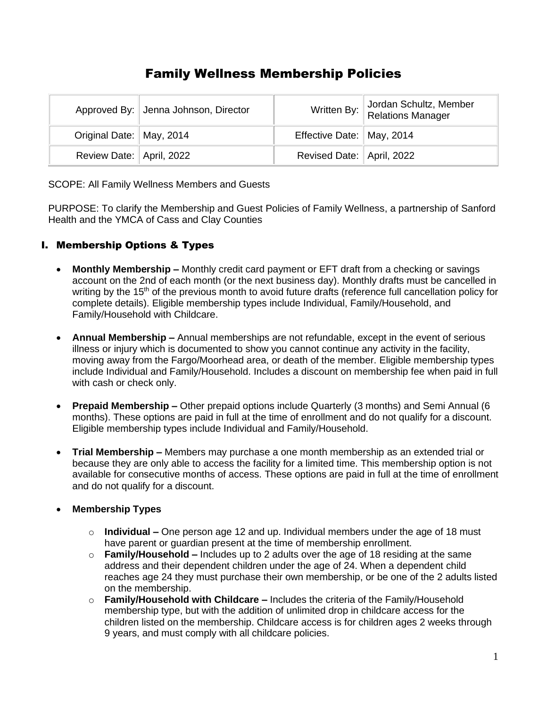# Family Wellness Membership Policies

|                            | Approved By: Jenna Johnson, Director |                             | Written By: Jordan Schultz, Member<br>Relations Manager |
|----------------------------|--------------------------------------|-----------------------------|---------------------------------------------------------|
| Original Date:   May, 2014 |                                      | Effective Date:   May, 2014 |                                                         |
| Review Date: April, 2022   |                                      | Revised Date: April, 2022   |                                                         |

SCOPE: All Family Wellness Members and Guests

PURPOSE: To clarify the Membership and Guest Policies of Family Wellness, a partnership of Sanford Health and the YMCA of Cass and Clay Counties

## I. Membership Options & Types

- **Monthly Membership –** Monthly credit card payment or EFT draft from a checking or savings account on the 2nd of each month (or the next business day). Monthly drafts must be cancelled in writing by the 15<sup>th</sup> of the previous month to avoid future drafts (reference full cancellation policy for complete details). Eligible membership types include Individual, Family/Household, and Family/Household with Childcare.
- **Annual Membership –** Annual memberships are not refundable, except in the event of serious illness or injury which is documented to show you cannot continue any activity in the facility, moving away from the Fargo/Moorhead area, or death of the member. Eligible membership types include Individual and Family/Household. Includes a discount on membership fee when paid in full with cash or check only.
- **Prepaid Membership –** Other prepaid options include Quarterly (3 months) and Semi Annual (6 months). These options are paid in full at the time of enrollment and do not qualify for a discount. Eligible membership types include Individual and Family/Household.
- **Trial Membership –** Members may purchase a one month membership as an extended trial or because they are only able to access the facility for a limited time. This membership option is not available for consecutive months of access. These options are paid in full at the time of enrollment and do not qualify for a discount.

### • **Membership Types**

- o **Individual –** One person age 12 and up. Individual members under the age of 18 must have parent or guardian present at the time of membership enrollment.
- o **Family/Household –** Includes up to 2 adults over the age of 18 residing at the same address and their dependent children under the age of 24. When a dependent child reaches age 24 they must purchase their own membership, or be one of the 2 adults listed on the membership.
- o **Family/Household with Childcare –** Includes the criteria of the Family/Household membership type, but with the addition of unlimited drop in childcare access for the children listed on the membership. Childcare access is for children ages 2 weeks through 9 years, and must comply with all childcare policies.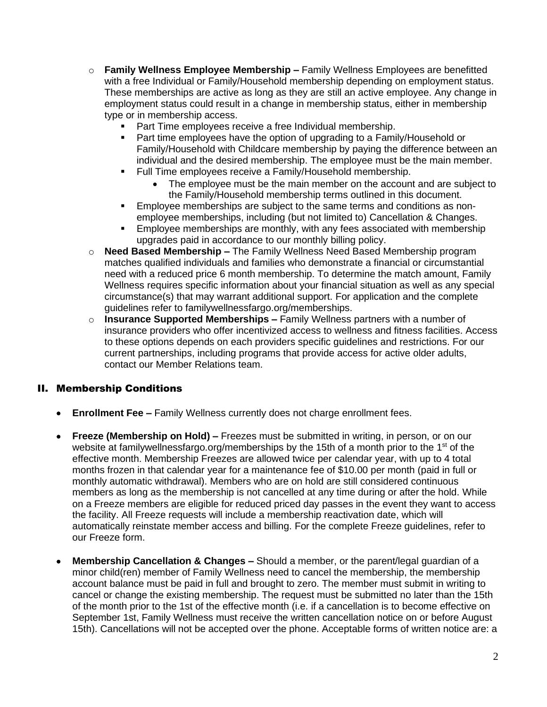- o **Family Wellness Employee Membership –** Family Wellness Employees are benefitted with a free Individual or Family/Household membership depending on employment status. These memberships are active as long as they are still an active employee. Any change in employment status could result in a change in membership status, either in membership type or in membership access.
	- Part Time employees receive a free Individual membership.
	- Part time employees have the option of upgrading to a Family/Household or Family/Household with Childcare membership by paying the difference between an individual and the desired membership. The employee must be the main member.
	- Full Time employees receive a Family/Household membership.
		- The employee must be the main member on the account and are subject to the Family/Household membership terms outlined in this document.
	- **Employee memberships are subject to the same terms and conditions as non**employee memberships, including (but not limited to) Cancellation & Changes.
	- **Employee memberships are monthly, with any fees associated with membership** upgrades paid in accordance to our monthly billing policy.
- o **Need Based Membership –** The Family Wellness Need Based Membership program matches qualified individuals and families who demonstrate a financial or circumstantial need with a reduced price 6 month membership. To determine the match amount, Family Wellness requires specific information about your financial situation as well as any special circumstance(s) that may warrant additional support. For application and the complete guidelines refer to familywellnessfargo.org/memberships.
- o **Insurance Supported Memberships –** Family Wellness partners with a number of insurance providers who offer incentivized access to wellness and fitness facilities. Access to these options depends on each providers specific guidelines and restrictions. For our current partnerships, including programs that provide access for active older adults, contact our Member Relations team.

### II. Membership Conditions

- **Enrollment Fee –** Family Wellness currently does not charge enrollment fees.
- **Freeze (Membership on Hold) –** Freezes must be submitted in writing, in person, or on our website at familywellnessfargo.org/memberships by the 15th of a month prior to the 1<sup>st</sup> of the effective month. Membership Freezes are allowed twice per calendar year, with up to 4 total months frozen in that calendar year for a maintenance fee of \$10.00 per month (paid in full or monthly automatic withdrawal). Members who are on hold are still considered continuous members as long as the membership is not cancelled at any time during or after the hold. While on a Freeze members are eligible for reduced priced day passes in the event they want to access the facility. All Freeze requests will include a membership reactivation date, which will automatically reinstate member access and billing. For the complete Freeze guidelines, refer to our Freeze form.
- **Membership Cancellation & Changes –** Should a member, or the parent/legal guardian of a minor child(ren) member of Family Wellness need to cancel the membership, the membership account balance must be paid in full and brought to zero. The member must submit in writing to cancel or change the existing membership. The request must be submitted no later than the 15th of the month prior to the 1st of the effective month (i.e. if a cancellation is to become effective on September 1st, Family Wellness must receive the written cancellation notice on or before August 15th). Cancellations will not be accepted over the phone. Acceptable forms of written notice are: a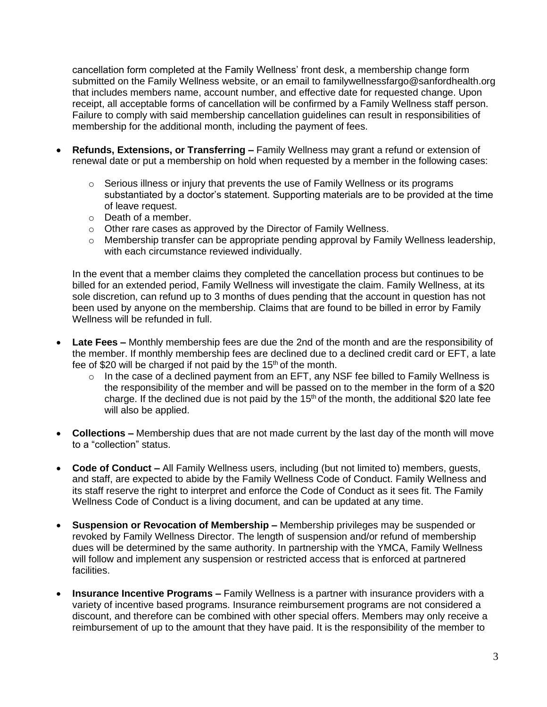cancellation form completed at the Family Wellness' front desk, a membership change form submitted on the Family Wellness website, or an email to familywellnessfargo@sanfordhealth.org that includes members name, account number, and effective date for requested change. Upon receipt, all acceptable forms of cancellation will be confirmed by a Family Wellness staff person. Failure to comply with said membership cancellation guidelines can result in responsibilities of membership for the additional month, including the payment of fees.

- **Refunds, Extensions, or Transferring –** Family Wellness may grant a refund or extension of renewal date or put a membership on hold when requested by a member in the following cases:
	- $\circ$  Serious illness or injury that prevents the use of Family Wellness or its programs substantiated by a doctor's statement. Supporting materials are to be provided at the time of leave request.
	- o Death of a member.
	- o Other rare cases as approved by the Director of Family Wellness.
	- $\circ$  Membership transfer can be appropriate pending approval by Family Wellness leadership, with each circumstance reviewed individually.

In the event that a member claims they completed the cancellation process but continues to be billed for an extended period, Family Wellness will investigate the claim. Family Wellness, at its sole discretion, can refund up to 3 months of dues pending that the account in question has not been used by anyone on the membership. Claims that are found to be billed in error by Family Wellness will be refunded in full.

- **Late Fees –** Monthly membership fees are due the 2nd of the month and are the responsibility of the member. If monthly membership fees are declined due to a declined credit card or EFT, a late fee of \$20 will be charged if not paid by the  $15<sup>th</sup>$  of the month.
	- $\circ$  In the case of a declined payment from an EFT, any NSF fee billed to Family Wellness is the responsibility of the member and will be passed on to the member in the form of a \$20 charge. If the declined due is not paid by the  $15<sup>th</sup>$  of the month, the additional \$20 late fee will also be applied.
- **Collections –** Membership dues that are not made current by the last day of the month will move to a "collection" status.
- **Code of Conduct –** All Family Wellness users, including (but not limited to) members, guests, and staff, are expected to abide by the Family Wellness Code of Conduct. Family Wellness and its staff reserve the right to interpret and enforce the Code of Conduct as it sees fit. The Family Wellness Code of Conduct is a living document, and can be updated at any time.
- **Suspension or Revocation of Membership –** Membership privileges may be suspended or revoked by Family Wellness Director. The length of suspension and/or refund of membership dues will be determined by the same authority. In partnership with the YMCA, Family Wellness will follow and implement any suspension or restricted access that is enforced at partnered facilities.
- **Insurance Incentive Programs –** Family Wellness is a partner with insurance providers with a variety of incentive based programs. Insurance reimbursement programs are not considered a discount, and therefore can be combined with other special offers. Members may only receive a reimbursement of up to the amount that they have paid. It is the responsibility of the member to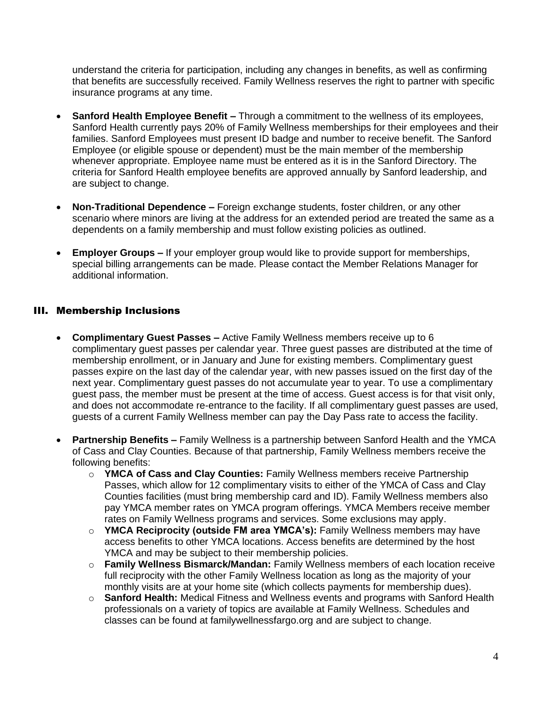understand the criteria for participation, including any changes in benefits, as well as confirming that benefits are successfully received. Family Wellness reserves the right to partner with specific insurance programs at any time.

- **Sanford Health Employee Benefit –** Through a commitment to the wellness of its employees, Sanford Health currently pays 20% of Family Wellness memberships for their employees and their families. Sanford Employees must present ID badge and number to receive benefit. The Sanford Employee (or eligible spouse or dependent) must be the main member of the membership whenever appropriate. Employee name must be entered as it is in the Sanford Directory. The criteria for Sanford Health employee benefits are approved annually by Sanford leadership, and are subject to change.
- **Non-Traditional Dependence –** Foreign exchange students, foster children, or any other scenario where minors are living at the address for an extended period are treated the same as a dependents on a family membership and must follow existing policies as outlined.
- **Employer Groups –** If your employer group would like to provide support for memberships, special billing arrangements can be made. Please contact the Member Relations Manager for additional information.

### III. Membership Inclusions

- **Complimentary Guest Passes –** Active Family Wellness members receive up to 6 complimentary guest passes per calendar year. Three guest passes are distributed at the time of membership enrollment, or in January and June for existing members. Complimentary guest passes expire on the last day of the calendar year, with new passes issued on the first day of the next year. Complimentary guest passes do not accumulate year to year. To use a complimentary guest pass, the member must be present at the time of access. Guest access is for that visit only, and does not accommodate re-entrance to the facility. If all complimentary guest passes are used, guests of a current Family Wellness member can pay the Day Pass rate to access the facility.
- **Partnership Benefits –** Family Wellness is a partnership between Sanford Health and the YMCA of Cass and Clay Counties. Because of that partnership, Family Wellness members receive the following benefits:
	- o **YMCA of Cass and Clay Counties:** Family Wellness members receive Partnership Passes, which allow for 12 complimentary visits to either of the YMCA of Cass and Clay Counties facilities (must bring membership card and ID). Family Wellness members also pay YMCA member rates on YMCA program offerings. YMCA Members receive member rates on Family Wellness programs and services. Some exclusions may apply.
	- o **YMCA Reciprocity (outside FM area YMCA's):** Family Wellness members may have access benefits to other YMCA locations. Access benefits are determined by the host YMCA and may be subject to their membership policies.
	- o **Family Wellness Bismarck/Mandan:** Family Wellness members of each location receive full reciprocity with the other Family Wellness location as long as the majority of your monthly visits are at your home site (which collects payments for membership dues).
	- o **Sanford Health:** Medical Fitness and Wellness events and programs with Sanford Health professionals on a variety of topics are available at Family Wellness. Schedules and classes can be found at familywellnessfargo.org and are subject to change.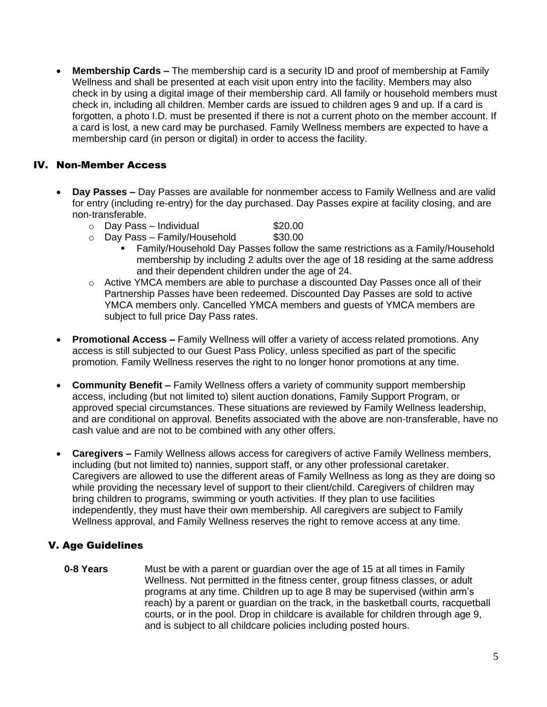• **Membership Cards –** The membership card is a security ID and proof of membership at Family Wellness and shall be presented at each visit upon entry into the facility. Members may also check in by using a digital image of their membership card. All family or household members must check in, including all children. Member cards are issued to children ages 9 and up. If a card is forgotten, a photo I.D. must be presented if there is not a current photo on the member account. If a card is lost, a new card may be purchased. Family Wellness members are expected to have a membership card (in person or digital) in order to access the facility.

### IV. Non-Member Access

- **Day Passes –** Day Passes are available for nonmember access to Family Wellness and are valid for entry (including re-entry) for the day purchased. Day Passes expire at facility closing, and are non-transferable.
	- $\circ$  Day Pass Individual  $$20.00$
	- $\circ$  Day Pass Family/Household  $$30.00$ 
		- Family/Household Day Passes follow the same restrictions as a Family/Household membership by including 2 adults over the age of 18 residing at the same address and their dependent children under the age of 24.
	- o Active YMCA members are able to purchase a discounted Day Passes once all of their Partnership Passes have been redeemed. Discounted Day Passes are sold to active YMCA members only. Cancelled YMCA members and guests of YMCA members are subject to full price Day Pass rates.
- **Promotional Access –** Family Wellness will offer a variety of access related promotions. Any access is still subjected to our Guest Pass Policy, unless specified as part of the specific promotion. Family Wellness reserves the right to no longer honor promotions at any time.
- **Community Benefit –** Family Wellness offers a variety of community support membership access, including (but not limited to) silent auction donations, Family Support Program, or approved special circumstances. These situations are reviewed by Family Wellness leadership, and are conditional on approval. Benefits associated with the above are non-transferable, have no cash value and are not to be combined with any other offers.
- **Caregivers –** Family Wellness allows access for caregivers of active Family Wellness members, including (but not limited to) nannies, support staff, or any other professional caretaker. Caregivers are allowed to use the different areas of Family Wellness as long as they are doing so while providing the necessary level of support to their client/child. Caregivers of children may bring children to programs, swimming or youth activities. If they plan to use facilities independently, they must have their own membership. All caregivers are subject to Family Wellness approval, and Family Wellness reserves the right to remove access at any time.

## V. Age Guidelines

**0-8 Years** Must be with a parent or guardian over the age of 15 at all times in Family Wellness. Not permitted in the fitness center, group fitness classes, or adult programs at any time. Children up to age 8 may be supervised (within arm's reach) by a parent or guardian on the track, in the basketball courts, racquetball courts, or in the pool. Drop in childcare is available for children through age 9, and is subject to all childcare policies including posted hours.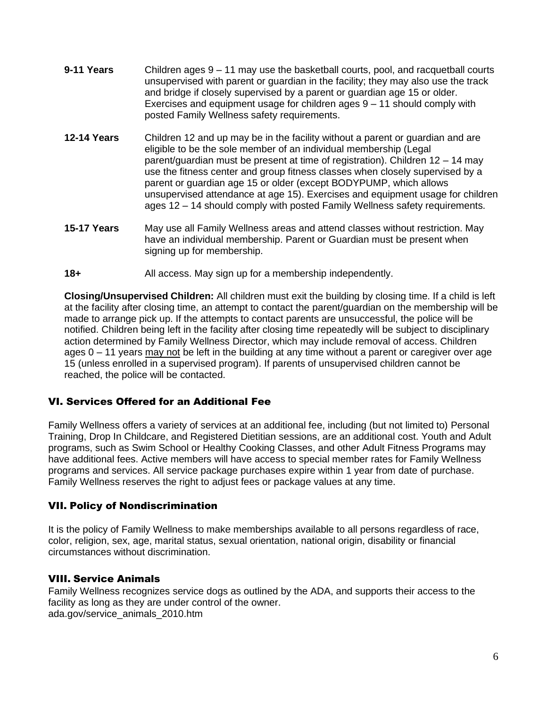- **9-11 Years** Children ages 9 11 may use the basketball courts, pool, and racquetball courts unsupervised with parent or guardian in the facility; they may also use the track and bridge if closely supervised by a parent or guardian age 15 or older. Exercises and equipment usage for children ages 9 – 11 should comply with posted Family Wellness safety requirements.
- **12-14 Years** Children 12 and up may be in the facility without a parent or guardian and are eligible to be the sole member of an individual membership (Legal parent/guardian must be present at time of registration). Children 12 – 14 may use the fitness center and group fitness classes when closely supervised by a parent or guardian age 15 or older (except BODYPUMP, which allows unsupervised attendance at age 15). Exercises and equipment usage for children ages 12 – 14 should comply with posted Family Wellness safety requirements.
- **15-17 Years** May use all Family Wellness areas and attend classes without restriction. May have an individual membership. Parent or Guardian must be present when signing up for membership.
- **18+** All access. May sign up for a membership independently.

**Closing/Unsupervised Children:** All children must exit the building by closing time. If a child is left at the facility after closing time, an attempt to contact the parent/guardian on the membership will be made to arrange pick up. If the attempts to contact parents are unsuccessful, the police will be notified. Children being left in the facility after closing time repeatedly will be subject to disciplinary action determined by Family Wellness Director, which may include removal of access. Children ages 0 – 11 years may not be left in the building at any time without a parent or caregiver over age 15 (unless enrolled in a supervised program). If parents of unsupervised children cannot be reached, the police will be contacted.

### VI. Services Offered for an Additional Fee

Family Wellness offers a variety of services at an additional fee, including (but not limited to) Personal Training, Drop In Childcare, and Registered Dietitian sessions, are an additional cost. Youth and Adult programs, such as Swim School or Healthy Cooking Classes, and other Adult Fitness Programs may have additional fees. Active members will have access to special member rates for Family Wellness programs and services. All service package purchases expire within 1 year from date of purchase. Family Wellness reserves the right to adjust fees or package values at any time.

### VII. Policy of Nondiscrimination

It is the policy of Family Wellness to make memberships available to all persons regardless of race, color, religion, sex, age, marital status, sexual orientation, national origin, disability or financial circumstances without discrimination.

### VIII. Service Animals

Family Wellness recognizes service dogs as outlined by the ADA, and supports their access to the facility as long as they are under control of the owner. ada.gov/service\_animals\_2010.htm